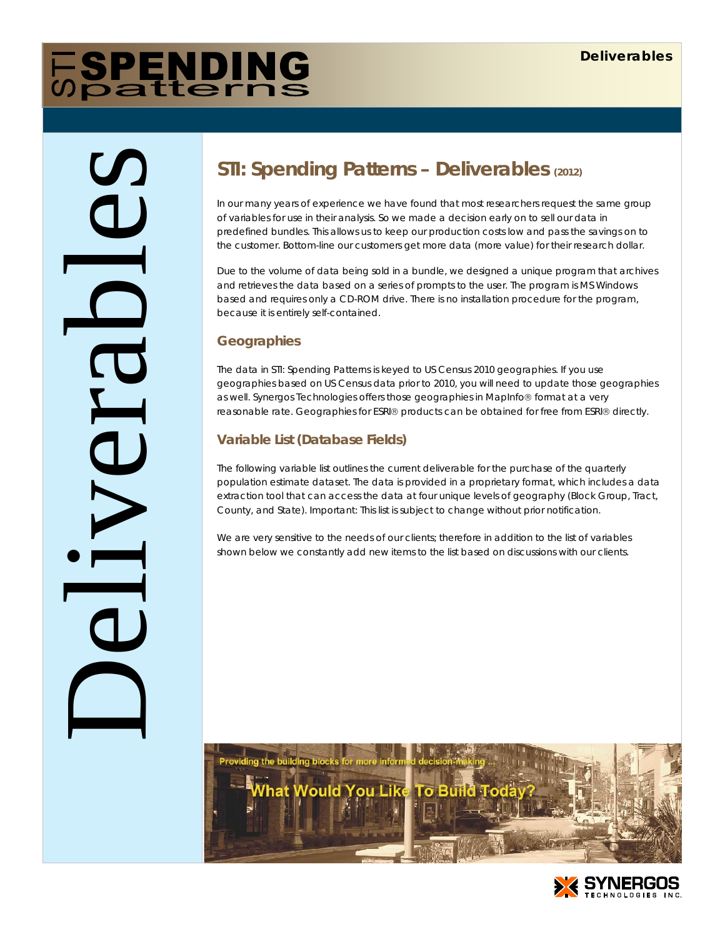# **FSPENDING**

Deliverables

## **STI: Spending Patterns – Deliverables (2012)**

In our many years of experience we have found that most researchers request the same group of variables for use in their analysis. So we made a decision early on to sell our data in predefined bundles. This allows us to keep our production costs low and pass the savings on to the customer. Bottom-line our customers get more data (more value) for their research dollar.

Due to the volume of data being sold in a bundle, we designed a unique program that archives and retrieves the data based on a series of prompts to the user. The program is MS Windows based and requires only a CD-ROM drive. There is no installation procedure for the program, because it is entirely self-contained.

#### **Geographies**

The data in STI: Spending Patterns is keyed to US Census 2010 geographies. If you use geographies based on US Census data prior to 2010, you will need to update those geographies as well. Synergos Technologies offers those geographies in MapInfo® format at a very reasonable rate. Geographies for ESRI® products can be obtained for free from ESRI® directly.

### **Variable List (Database Fields)**

The following variable list outlines the current deliverable for the purchase of the quarterly population estimate dataset. The data is provided in a proprietary format, which includes a data extraction tool that can access the data at four unique levels of geography (Block Group, Tract, County, and State). Important: This list is subject to change without prior notification.

We are very sensitive to the needs of our clients; therefore in addition to the list of variables shown below we constantly add new items to the list based on discussions with our clients.



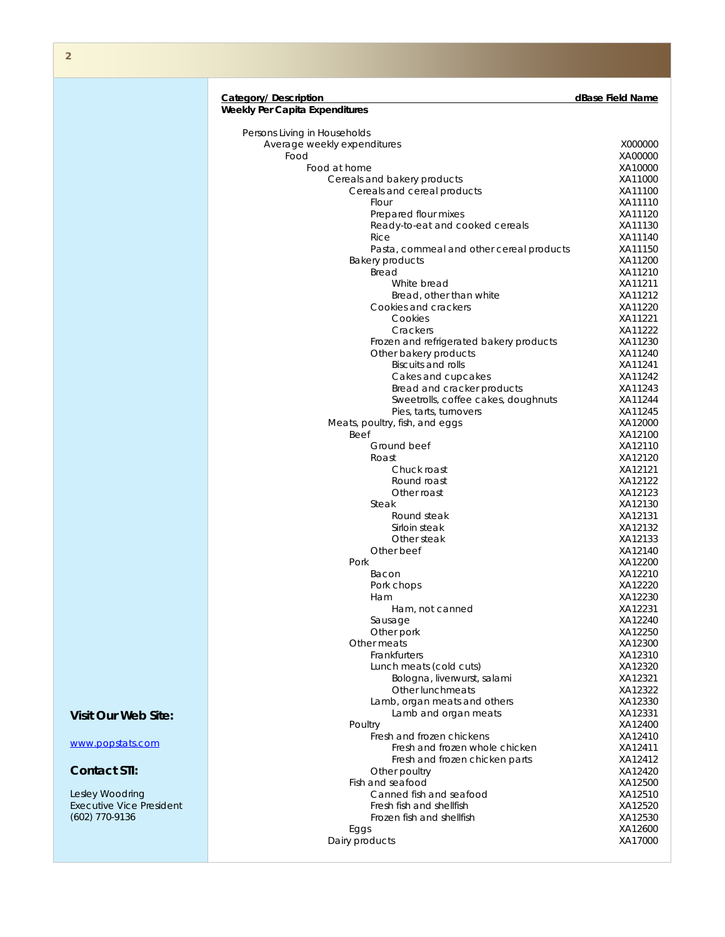#### **Category/ Description dBase Field Name**

|                                 | <b>Weekly Per Capita Expenditures</b>              |                    |
|---------------------------------|----------------------------------------------------|--------------------|
|                                 | Persons Living in Households                       |                    |
|                                 | Average weekly expenditures                        | X000000            |
|                                 | Food                                               | XA00000            |
|                                 | Food at home                                       | XA10000            |
|                                 | Cereals and bakery products                        | XA11000            |
|                                 | Cereals and cereal products                        | XA11100            |
|                                 | Flour                                              | XA11110            |
|                                 | Prepared flour mixes                               | XA11120            |
|                                 | Ready-to-eat and cooked cereals                    | XA11130            |
|                                 | Rice                                               | XA11140            |
|                                 | Pasta, cornmeal and other cereal products          | XA11150            |
|                                 | <b>Bakery products</b>                             | XA11200            |
|                                 | Bread                                              | XA11210            |
|                                 | White bread                                        | XA11211            |
|                                 | Bread, other than white                            | XA11212            |
|                                 | Cookies and crackers                               | XA11220            |
|                                 | Cookies                                            | XA11221            |
|                                 | Crackers                                           | XA11222            |
|                                 | Frozen and refrigerated bakery products            | XA11230<br>XA11240 |
|                                 | Other bakery products<br><b>Biscuits and rolls</b> | XA11241            |
|                                 | Cakes and cupcakes                                 | XA11242            |
|                                 | Bread and cracker products                         | XA11243            |
|                                 | Sweetrolls, coffee cakes, doughnuts                | XA11244            |
|                                 | Pies, tarts, turnovers                             | XA11245            |
|                                 | Meats, poultry, fish, and eggs                     | XA12000            |
|                                 | Beef                                               | XA12100            |
|                                 | Ground beef                                        | XA12110            |
|                                 | Roast                                              | XA12120            |
|                                 | Chuck roast                                        | XA12121            |
|                                 | Round roast                                        | XA12122            |
|                                 | Other roast                                        | XA12123            |
|                                 | Steak                                              | XA12130            |
|                                 | Round steak                                        | XA12131            |
|                                 | Sirloin steak                                      | XA12132            |
|                                 | Other steak                                        | XA12133            |
|                                 | Other beef                                         | XA12140            |
|                                 | Pork                                               | XA12200            |
|                                 | Bacon                                              | XA12210            |
|                                 | Pork chops                                         | XA12220            |
|                                 | Ham                                                | XA12230            |
|                                 | Ham, not canned                                    | XA12231<br>XA12240 |
|                                 | Sausage<br>Other pork                              | XA12250            |
|                                 | Other meats                                        | XA12300            |
|                                 | Frankfurters                                       | XA12310            |
|                                 | Lunch meats (cold cuts)                            | XA12320            |
|                                 | Bologna, liverwurst, salami                        | XA12321            |
|                                 | Other lunchmeats                                   | XA12322            |
|                                 | Lamb, organ meats and others                       | XA12330            |
| <b>Visit Our Web Site:</b>      | Lamb and organ meats                               | XA12331            |
|                                 | Poultry                                            | XA12400            |
|                                 | Fresh and frozen chickens                          | XA12410            |
| www.popstats.com                | Fresh and frozen whole chicken                     | XA12411            |
|                                 | Fresh and frozen chicken parts                     | XA12412            |
| <b>Contact STI:</b>             | Other poultry                                      | XA12420            |
|                                 | Fish and seafood                                   | XA12500            |
| Lesley Woodring                 | Canned fish and seafood                            | XA12510            |
| <b>Executive Vice President</b> | Fresh fish and shellfish                           | XA12520            |
| (602) 770-9136                  | Frozen fish and shellfish                          | XA12530            |
|                                 | Eggs                                               | XA12600            |
|                                 | Dairy products                                     | XA17000            |
|                                 |                                                    |                    |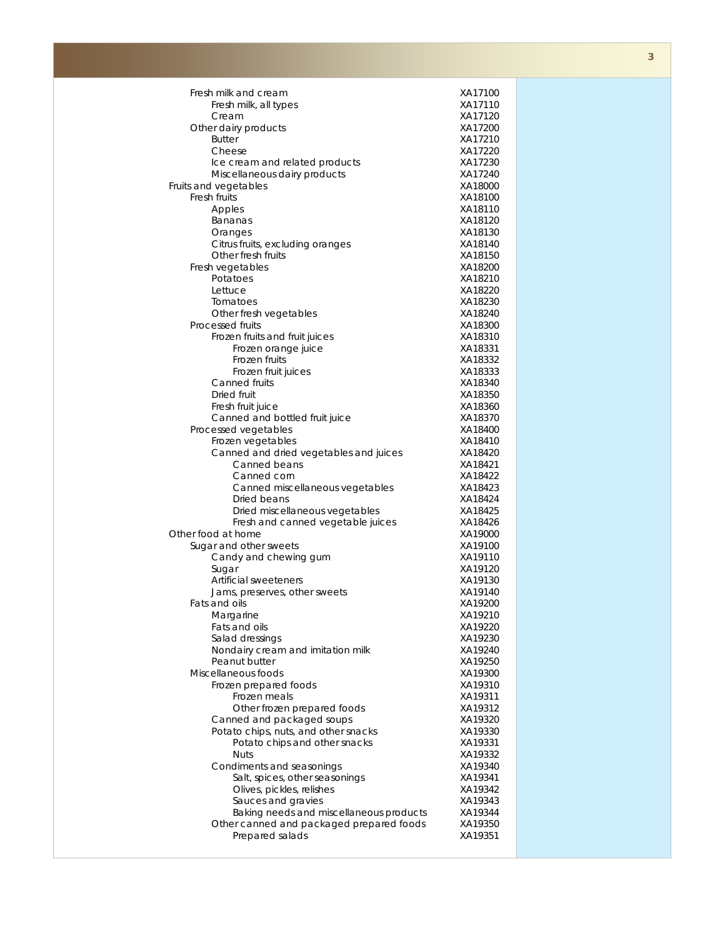| Fresh milk and cream                                           | XA17100            |
|----------------------------------------------------------------|--------------------|
| Fresh milk, all types                                          | XA17110            |
| Cream                                                          | XA17120            |
| Other dairy products                                           | XA17200            |
| <b>Butter</b>                                                  | XA17210            |
| Cheese                                                         | XA17220            |
| Ice cream and related products<br>Miscellaneous dairy products | XA17230<br>XA17240 |
| Fruits and vegetables                                          | XA18000            |
| Fresh fruits                                                   | XA18100            |
| Apples                                                         | XA18110            |
| Bananas                                                        | XA18120            |
| Oranges                                                        | XA18130            |
| Citrus fruits, excluding oranges                               | XA18140            |
| Other fresh fruits                                             | XA18150            |
| Fresh vegetables                                               | XA18200            |
| Potatoes                                                       | XA18210            |
| Lettuce                                                        | XA18220            |
| Tomatoes                                                       | XA18230            |
| Other fresh vegetables                                         | XA18240            |
| Processed fruits                                               | XA18300            |
| Frozen fruits and fruit juices                                 | XA18310            |
| Frozen orange juice                                            | XA18331            |
| Frozen fruits<br>Frozen fruit juices                           | XA18332<br>XA18333 |
| Canned fruits                                                  | XA18340            |
| Dried fruit                                                    | XA18350            |
| Fresh fruit juice                                              | XA18360            |
| Canned and bottled fruit juice                                 | XA18370            |
| Processed vegetables                                           | XA18400            |
| Frozen vegetables                                              | XA18410            |
| Canned and dried vegetables and juices                         | XA18420            |
| Canned beans                                                   | XA18421            |
| Canned corn                                                    | XA18422            |
| Canned miscellaneous vegetables                                | XA18423            |
| Dried beans                                                    | XA18424            |
| Dried miscellaneous vegetables                                 | XA18425            |
| Fresh and canned vegetable juices                              | XA18426            |
| Other food at home                                             | XA19000            |
| Sugar and other sweets                                         | XA19100            |
| Candy and chewing gum<br>Sugar                                 | XA19110<br>XA19120 |
| Artificial sweeteners                                          | XA19130            |
| Jams, preserves, other sweets                                  | XA19140            |
| Fats and oils                                                  | XA19200            |
| Margarine                                                      | XA19210            |
| Fats and oils                                                  | XA19220            |
| Salad dressings                                                | XA19230            |
| Nondairy cream and imitation milk                              | XA19240            |
| Peanut butter                                                  | XA19250            |
| Miscellaneous foods                                            | XA19300            |
| Frozen prepared foods                                          | XA19310            |
| Frozen meals                                                   | XA19311            |
| Other frozen prepared foods                                    | XA19312            |
| Canned and packaged soups                                      | XA19320            |
| Potato chips, nuts, and other snacks                           | XA19330            |
| Potato chips and other snacks<br><b>Nuts</b>                   | XA19331<br>XA19332 |
| Condiments and seasonings                                      | XA19340            |
| Salt, spices, other seasonings                                 | XA19341            |
| Olives, pickles, relishes                                      | XA19342            |
| Sauces and gravies                                             | XA19343            |
| Baking needs and miscellaneous products                        | XA19344            |
| Other canned and packaged prepared foods                       | XA19350            |
| Prepared salads                                                | XA19351            |
|                                                                |                    |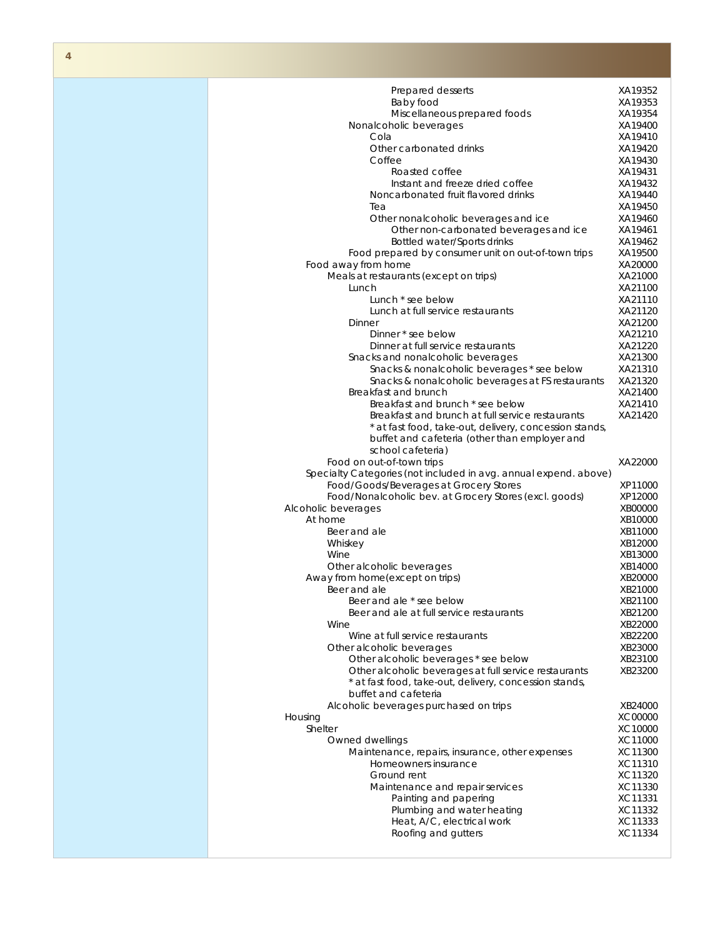| ۳ |  |
|---|--|

| Prepared desserts<br>Baby food                                                     | XA19352            |
|------------------------------------------------------------------------------------|--------------------|
|                                                                                    |                    |
|                                                                                    | XA19353            |
| Miscellaneous prepared foods                                                       | XA19354            |
| Nonalcoholic beverages                                                             | XA19400            |
| Cola                                                                               | XA19410            |
| Other carbonated drinks                                                            | XA19420            |
| Coffee                                                                             | XA19430            |
| Roasted coffee                                                                     | XA19431            |
| Instant and freeze dried coffee                                                    | XA19432            |
| Noncarbonated fruit flavored drinks                                                | XA19440            |
| Tea                                                                                | XA19450<br>XA19460 |
| Other nonalcoholic beverages and ice                                               | XA19461            |
| Other non-carbonated beverages and ice                                             | XA19462            |
| Bottled water/Sports drinks<br>Food prepared by consumer unit on out-of-town trips | XA19500            |
| Food away from home                                                                | XA20000            |
| Meals at restaurants (except on trips)                                             | XA21000            |
| Lunch                                                                              | XA21100            |
| Lunch * see below                                                                  | XA21110            |
| Lunch at full service restaurants                                                  | XA21120            |
| Dinner                                                                             | XA21200            |
| Dinner * see below                                                                 | XA21210            |
| Dinner at full service restaurants                                                 | XA21220            |
| Snacks and nonalcoholic beverages                                                  | XA21300            |
| Snacks & nonalcoholic beverages * see below                                        | XA21310            |
| Snacks & nonalcoholic beverages at FS restaurants                                  | XA21320            |
| Breakfast and brunch                                                               | XA21400            |
| Breakfast and brunch * see below                                                   | XA21410            |
| Breakfast and brunch at full service restaurants                                   | XA21420            |
| * at fast food, take-out, delivery, concession stands,                             |                    |
| buffet and cafeteria (other than employer and                                      |                    |
| school cafeteria)                                                                  |                    |
| Food on out-of-town trips                                                          | XA22000            |
| Specialty Categories (not included in avg. annual expend. above)                   |                    |
| Food/Goods/Beverages at Grocery Stores                                             | XP11000            |
| Food/Nonalcoholic bev. at Grocery Stores (excl. goods)                             | XP12000            |
| Alcoholic beverages                                                                | XB00000            |
| At home                                                                            | XB10000            |
| Beer and ale                                                                       | XB11000            |
| Whiskey                                                                            | XB12000            |
| Wine                                                                               | XB13000            |
| Other alcoholic beverages                                                          | XB14000            |
| Away from home(except on trips)                                                    | XB20000            |
| Beer and ale                                                                       | XB21000            |
| Beer and ale * see below                                                           | XB21100            |
| Beer and ale at full service restaurants                                           | XB21200            |
| Wine                                                                               | XB22000            |
| Wine at full service restaurants                                                   | XB22200            |
| Other alcoholic beverages                                                          | XB23000            |
| Other alcoholic beverages * see below                                              | XB23100            |
| Other alcoholic beverages at full service restaurants                              | XB23200            |
| * at fast food, take-out, delivery, concession stands,                             |                    |
| buffet and cafeteria                                                               |                    |
| Alcoholic beverages purchased on trips                                             | XB24000            |
| Housing                                                                            | XC00000            |
| Shelter                                                                            | XC10000            |
| Owned dwellings                                                                    | XC11000            |
| Maintenance, repairs, insurance, other expenses                                    | XC11300            |
| Homeowners insurance                                                               | XC11310            |
| Ground rent                                                                        | XC11320            |
| Maintenance and repair services                                                    | XC11330            |
| Painting and papering                                                              | XC11331<br>XC11332 |
|                                                                                    |                    |
| Plumbing and water heating                                                         |                    |
| Heat, A/C, electrical work<br>Roofing and gutters                                  | XC11333<br>XC11334 |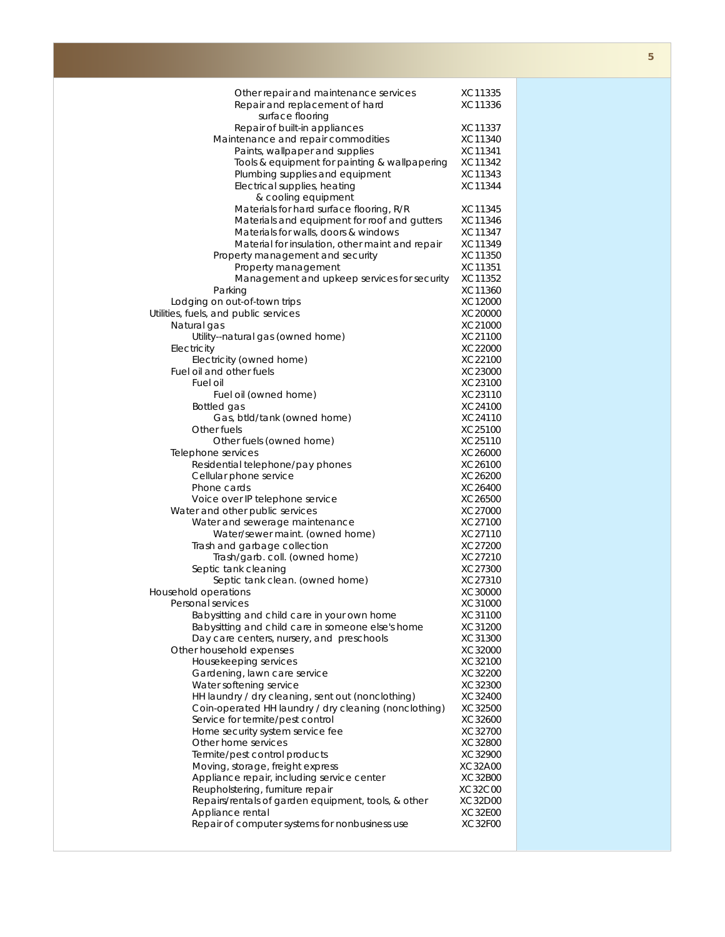| Other repair and maintenance services                              | XC11335            |
|--------------------------------------------------------------------|--------------------|
| Repair and replacement of hard                                     | XC11336            |
| surface flooring                                                   |                    |
| Repair of built-in appliances                                      | XC11337            |
| Maintenance and repair commodities                                 | XC11340            |
| Paints, wallpaper and supplies                                     | XC11341            |
| Tools & equipment for painting & wallpapering                      | XC11342            |
| Plumbing supplies and equipment                                    | XC11343            |
| Electrical supplies, heating                                       | XC11344            |
| & cooling equipment                                                |                    |
| Materials for hard surface flooring, R/R                           | XC11345            |
| Materials and equipment for roof and gutters                       | XC11346            |
| Materials for walls, doors & windows                               | XC11347            |
| Material for insulation, other maint and repair                    | XC11349<br>XC11350 |
| Property management and security<br>Property management            | XC11351            |
| Management and upkeep services for security                        | XC11352            |
| Parking                                                            | XC11360            |
| Lodging on out-of-town trips                                       | XC12000            |
| Utilities, fuels, and public services                              | XC20000            |
| Natural gas                                                        | XC21000            |
| Utility--natural gas (owned home)                                  | XC21100            |
| Electricity                                                        | XC22000            |
| Electricity (owned home)                                           | XC22100            |
| Fuel oil and other fuels                                           | XC23000            |
| Fuel oil                                                           | XC23100            |
| Fuel oil (owned home)                                              | XC23110            |
| Bottled gas                                                        | XC24100            |
| Gas, btld/tank (owned home)                                        | XC24110            |
| Other fuels                                                        | XC25100            |
| Other fuels (owned home)                                           | XC25110            |
| Telephone services                                                 | XC26000            |
| Residential telephone/pay phones                                   | XC26100            |
| Cellular phone service                                             | XC26200            |
| Phone cards                                                        | XC26400<br>XC26500 |
| Voice over IP telephone service<br>Water and other public services | XC27000            |
| Water and sewerage maintenance                                     | XC27100            |
| Water/sewer maint. (owned home)                                    | XC27110            |
| Trash and garbage collection                                       | XC27200            |
| Trash/garb. coll. (owned home)                                     | XC27210            |
| Septic tank cleaning                                               | XC27300            |
| Septic tank clean. (owned home)                                    | XC27310            |
| Household operations                                               | XC30000            |
| Personal services                                                  | XC31000            |
| Babysitting and child care in your own home                        | XC31100            |
| Babysitting and child care in someone else's home                  | XC31200            |
| Day care centers, nursery, and preschools                          | XC31300            |
| Other household expenses                                           | XC32000            |
| Housekeeping services                                              | XC32100            |
| Gardening, lawn care service                                       | XC32200            |
| Water softening service                                            | XC32300            |
| HH laundry / dry cleaning, sent out (nonclothing)                  | XC32400            |
| Coin-operated HH laundry / dry cleaning (nonclothing)              | XC32500<br>XC32600 |
| Service for termite/pest control                                   | XC32700            |
| Home security system service fee<br>Other home services            | XC32800            |
| Termite/pest control products                                      | XC32900            |
| Moving, storage, freight express                                   | XC32A00            |
| Appliance repair, including service center                         | XC32B00            |
| Reupholstering, furniture repair                                   | XC32C00            |
| Repairs/rentals of garden equipment, tools, & other                | XC32D00            |
| Appliance rental                                                   | <b>XC32E00</b>     |
| Repair of computer systems for nonbusiness use                     | <b>XC32F00</b>     |
|                                                                    |                    |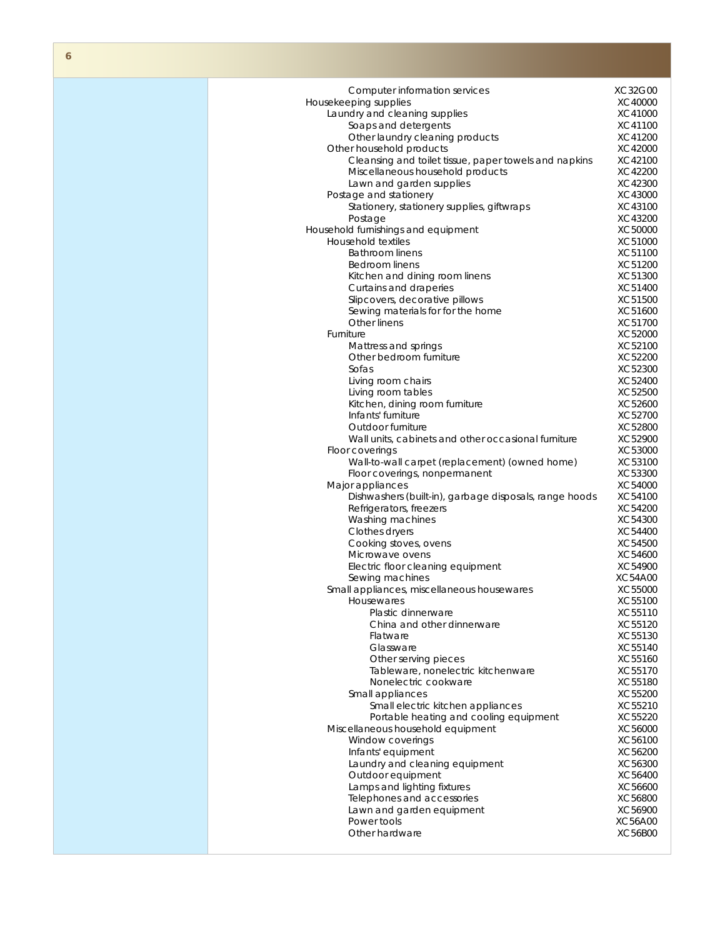| Computer information services                          | XC32G00 |
|--------------------------------------------------------|---------|
| Housekeeping supplies                                  | XC40000 |
| Laundry and cleaning supplies                          | XC41000 |
| Soaps and detergents                                   | XC41100 |
| Other laundry cleaning products                        | XC41200 |
| Other household products                               | XC42000 |
| Cleansing and toilet tissue, paper towels and napkins  | XC42100 |
|                                                        |         |
| Miscellaneous household products                       | XC42200 |
| Lawn and garden supplies                               | XC42300 |
| Postage and stationery                                 | XC43000 |
| Stationery, stationery supplies, giftwraps             | XC43100 |
| Postage                                                | XC43200 |
| Household furnishings and equipment                    | XC50000 |
| <b>Household textiles</b>                              | XC51000 |
| <b>Bathroom linens</b>                                 | XC51100 |
| Bedroom linens                                         | XC51200 |
|                                                        |         |
| Kitchen and dining room linens                         | XC51300 |
| Curtains and draperies                                 | XC51400 |
| Slipcovers, decorative pillows                         | XC51500 |
| Sewing materials for for the home                      | XC51600 |
| Other linens                                           | XC51700 |
| Furniture                                              | XC52000 |
| Mattress and springs                                   | XC52100 |
| Other bedroom furniture                                | XC52200 |
| Sofas                                                  | XC52300 |
|                                                        |         |
| Living room chairs                                     | XC52400 |
| Living room tables                                     | XC52500 |
| Kitchen, dining room furniture                         | XC52600 |
| Infants' furniture                                     | XC52700 |
| Outdoor furniture                                      | XC52800 |
| Wall units, cabinets and other occasional furniture    | XC52900 |
| Floor coverings                                        | XC53000 |
| Wall-to-wall carpet (replacement) (owned home)         | XC53100 |
| Floor coverings, nonpermanent                          | XC53300 |
| Major appliances                                       | XC54000 |
| Dishwashers (built-in), garbage disposals, range hoods |         |
|                                                        | XC54100 |
| Refrigerators, freezers                                | XC54200 |
| Washing machines                                       | XC54300 |
| Clothes dryers                                         | XC54400 |
| Cooking stoves, ovens                                  | XC54500 |
| Microwave ovens                                        | XC54600 |
| Electric floor cleaning equipment                      | XC54900 |
| Sewing machines                                        | XC54A00 |
| Small appliances, miscellaneous housewares             | XC55000 |
|                                                        |         |
| Housewares                                             | XC55100 |
| Plastic dinnerware                                     | XC55110 |
| China and other dinnerware                             | XC55120 |
| Flatware                                               | XC55130 |
| Glassware                                              | XC55140 |
| Other serving pieces                                   | XC55160 |
| Tableware, nonelectric kitchenware                     | XC55170 |
| Nonelectric cookware                                   | XC55180 |
| Small appliances                                       | XC55200 |
|                                                        |         |
| Small electric kitchen appliances                      | XC55210 |
| Portable heating and cooling equipment                 | XC55220 |
| Miscellaneous household equipment                      | XC56000 |
| Window coverings                                       | XC56100 |
| Infants' equipment                                     | XC56200 |
| Laundry and cleaning equipment                         | XC56300 |
| Outdoor equipment                                      | XC56400 |
| Lamps and lighting fixtures                            | XC56600 |
|                                                        |         |
| Telephones and accessories                             | XC56800 |
| Lawn and garden equipment                              | XC56900 |
| Power tools                                            | XC56A00 |
|                                                        |         |
| Other hardware                                         | XC56B00 |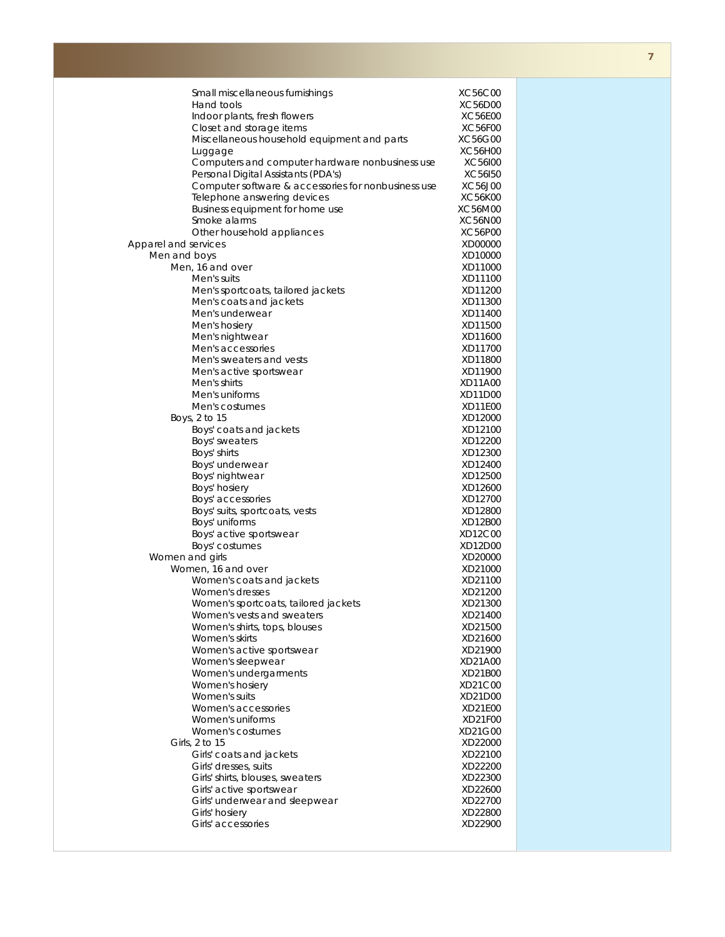|                      | Small miscellaneous furnishings                     | XC56C00        |
|----------------------|-----------------------------------------------------|----------------|
|                      | Hand tools                                          | XC56D00        |
|                      | Indoor plants, fresh flowers                        | XC56E00        |
|                      | Closet and storage items                            | <b>XC56F00</b> |
|                      |                                                     | XC56G00        |
|                      | Miscellaneous household equipment and parts         |                |
|                      | Luggage                                             | XC56H00        |
|                      | Computers and computer hardware nonbusiness use     | XC56I00        |
|                      | Personal Digital Assistants (PDA's)                 | XC56I50        |
|                      | Computer software & accessories for nonbusiness use | XC56J00        |
|                      | Telephone answering devices                         | <b>XC56K00</b> |
|                      | Business equipment for home use                     | XC56M00        |
|                      | Smoke alarms                                        | XC56N00        |
|                      | Other household appliances                          | XC56P00        |
| Apparel and services |                                                     | XD00000        |
|                      |                                                     |                |
| Men and boys         |                                                     | XD10000        |
|                      | Men, 16 and over                                    | XD11000        |
|                      | Men's suits                                         | XD11100        |
|                      | Men's sportcoats, tailored jackets                  | XD11200        |
|                      | Men's coats and jackets                             | XD11300        |
|                      | Men's underwear                                     | XD11400        |
|                      | Men's hosiery                                       | XD11500        |
|                      | Men's nightwear                                     | XD11600        |
|                      | Men's accessories                                   | XD11700        |
|                      |                                                     |                |
|                      | Men's sweaters and vests                            | XD11800        |
|                      | Men's active sportswear                             | XD11900        |
|                      | Men's shirts                                        | XD11A00        |
|                      | Men's uniforms                                      | XD11D00        |
|                      | Men's costumes                                      | XD11E00        |
|                      | Boys, 2 to 15                                       | XD12000        |
|                      | Boys' coats and jackets                             | XD12100        |
|                      | Boys' sweaters                                      | XD12200        |
|                      |                                                     |                |
|                      | Boys' shirts                                        | XD12300        |
|                      | Boys' underwear                                     | XD12400        |
|                      | Boys' nightwear                                     | XD12500        |
|                      | Boys' hosiery                                       | XD12600        |
|                      | Boys' accessories                                   | XD12700        |
|                      | Boys' suits, sportcoats, vests                      | XD12800        |
|                      | Boys' uniforms                                      | XD12B00        |
|                      | Boys' active sportswear                             | XD12C00        |
|                      |                                                     |                |
|                      | Boys' costumes                                      | XD12D00        |
| Women and girls      |                                                     | XD20000        |
|                      | Women, 16 and over                                  | XD21000        |
|                      | Women's coats and jackets                           | XD21100        |
|                      | Women's dresses                                     | XD21200        |
|                      | Women's sportcoats, tailored jackets                | XD21300        |
|                      | Women's vests and sweaters                          | XD21400        |
|                      | Women's shirts, tops, blouses                       | XD21500        |
|                      |                                                     |                |
|                      | Women's skirts                                      | XD21600        |
|                      | Women's active sportswear                           | XD21900        |
|                      | Women's sleepwear                                   | XD21A00        |
|                      | Women's undergarments                               | XD21B00        |
|                      | Women's hosiery                                     | XD21C00        |
|                      | Women's suits                                       | XD21D00        |
|                      | Women's accessories                                 | XD21E00        |
|                      | Women's uniforms                                    | XD21F00        |
|                      |                                                     |                |
|                      | Women's costumes                                    | XD21G00        |
|                      | Girls, 2 to 15                                      | XD22000        |
|                      | Girls' coats and jackets                            | XD22100        |
|                      | Girls' dresses, suits                               | XD22200        |
|                      | Girls' shirts, blouses, sweaters                    | XD22300        |
|                      | Girls' active sportswear                            | XD22600        |
|                      | Girls' underwear and sleepwear                      | XD22700        |
|                      |                                                     |                |
|                      | Girls' hosiery                                      | XD22800        |
|                      | Girls' accessories                                  | XD22900        |
|                      |                                                     |                |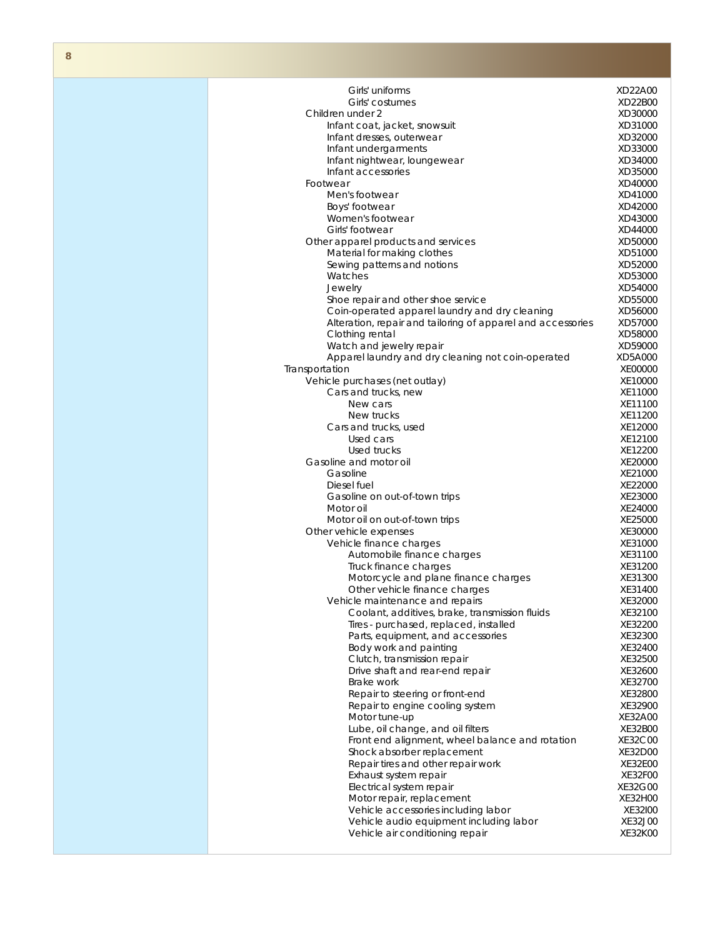| Girls' uniforms                                                                | XD22A00            |
|--------------------------------------------------------------------------------|--------------------|
| Girls' costumes                                                                | XD22B00            |
| Children under 2                                                               | XD30000            |
| Infant coat, jacket, snowsuit                                                  | XD31000            |
| Infant dresses, outerwear                                                      | XD32000            |
| Infant undergarments                                                           | XD33000            |
| Infant nightwear, loungewear                                                   | XD34000            |
| Infant accessories                                                             | XD35000            |
| Footwear                                                                       | XD40000            |
| Men's footwear                                                                 | XD41000            |
| Boys' footwear                                                                 | XD42000            |
| Women's footwear                                                               | XD43000            |
| Girls' footwear                                                                | XD44000            |
| Other apparel products and services                                            | XD50000            |
| Material for making clothes                                                    | XD51000            |
| Sewing patterns and notions                                                    | XD52000            |
| Watches                                                                        | XD53000<br>XD54000 |
| Jewelry<br>Shoe repair and other shoe service                                  | XD55000            |
| Coin-operated apparel laundry and dry cleaning                                 | XD56000            |
| Alteration, repair and tailoring of apparel and accessories                    | XD57000            |
| Clothing rental                                                                | XD58000            |
| Watch and jewelry repair                                                       | XD59000            |
| Apparel laundry and dry cleaning not coin-operated                             | XD5A000            |
| Transportation                                                                 | XE00000            |
| Vehicle purchases (net outlay)                                                 | XE10000            |
| Cars and trucks, new                                                           | XE11000            |
| New cars                                                                       | XE11100            |
| New trucks                                                                     | XE11200            |
| Cars and trucks, used                                                          | XE12000            |
| Used cars                                                                      | XE12100            |
| Used trucks                                                                    | XE12200            |
| Gasoline and motor oil                                                         | XE20000            |
| Gasoline                                                                       | XE21000            |
| Diesel fuel                                                                    | XE22000            |
| Gasoline on out-of-town trips                                                  | XE23000            |
| Motor oil                                                                      | XE24000            |
| Motor oil on out-of-town trips                                                 | XE25000            |
| Other vehicle expenses                                                         | XE30000            |
| Vehicle finance charges<br>Automobile finance charges                          | XE31000<br>XE31100 |
| Truck finance charges                                                          | XE31200            |
| Motorcycle and plane finance charges                                           | XE31300            |
| Other vehicle finance charges                                                  | XE31400            |
| Vehicle maintenance and repairs                                                | XE32000            |
| Coolant, additives, brake, transmission fluids                                 | XE32100            |
| Tires - purchased, replaced, installed                                         | XE32200            |
| Parts, equipment, and accessories                                              | XE32300            |
| Body work and painting                                                         | XE32400            |
| Clutch, transmission repair                                                    | XE32500            |
| Drive shaft and rear-end repair                                                | XE32600            |
| Brake work                                                                     | XE32700            |
| Repair to steering or front-end                                                | XE32800            |
| Repair to engine cooling system                                                | XE32900            |
| Motor tune-up                                                                  | XE32A00            |
| Lube, oil change, and oil filters                                              | XE32B00            |
| Front end alignment, wheel balance and rotation                                | XE32C00            |
| Shock absorber replacement                                                     | XE32D00            |
| Repair tires and other repair work                                             | XE32E00            |
| Exhaust system repair                                                          | XE32F00            |
| Electrical system repair                                                       | XE32G00            |
| Motor repair, replacement                                                      | XE32H00            |
| Vehicle accessories including labor<br>Vehicle audio equipment including labor | XE32100<br>XE32J00 |
| Vehicle air conditioning repair                                                | XE32K00            |
|                                                                                |                    |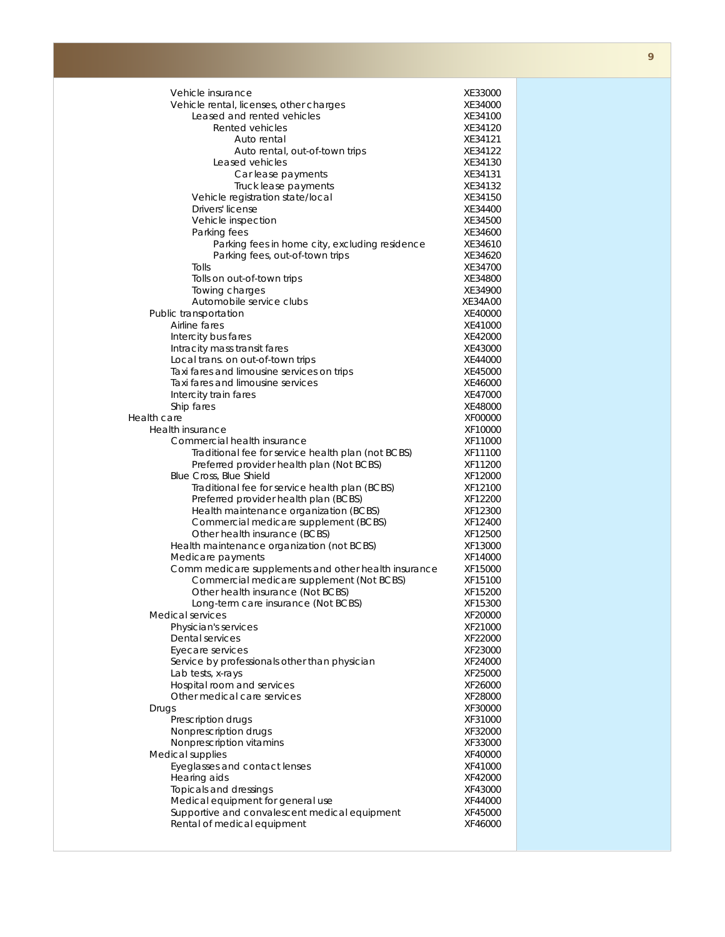| Vehicle insurance                                                               | XE33000            |
|---------------------------------------------------------------------------------|--------------------|
| Vehicle rental, licenses, other charges                                         | XE34000            |
| Leased and rented vehicles                                                      | XE34100            |
| Rented vehicles                                                                 | XE34120            |
| Auto rental                                                                     | XE34121            |
| Auto rental, out-of-town trips                                                  | XE34122            |
| Leased vehicles                                                                 | XE34130            |
| Car lease payments                                                              | XE34131            |
| Truck lease payments                                                            | XE34132            |
| Vehicle registration state/local                                                | XE34150            |
| Drivers' license                                                                | XE34400            |
| Vehicle inspection                                                              | XE34500            |
| Parking fees                                                                    | XE34600            |
| Parking fees in home city, excluding residence                                  | XE34610            |
| Parking fees, out-of-town trips                                                 | XE34620            |
| Tolls                                                                           | XE34700            |
| Tolls on out-of-town trips                                                      | XE34800            |
| Towing charges                                                                  | XE34900            |
| Automobile service clubs                                                        | XE34A00            |
| Public transportation                                                           | XE40000            |
| Airline fares                                                                   | XE41000            |
| Intercity bus fares                                                             | XE42000            |
| Intracity mass transit fares                                                    | XE43000            |
| Local trans. on out-of-town trips                                               | XE44000            |
| Taxi fares and limousine services on trips<br>Taxi fares and limousine services | XE45000            |
|                                                                                 | XE46000            |
| Intercity train fares                                                           | XE47000            |
| Ship fares<br>Health care                                                       | XE48000<br>XF00000 |
| Health insurance                                                                | XF10000            |
| Commercial health insurance                                                     | XF11000            |
| Traditional fee for service health plan (not BCBS)                              | XF11100            |
| Preferred provider health plan (Not BCBS)                                       | XF11200            |
| Blue Cross, Blue Shield                                                         | XF12000            |
| Traditional fee for service health plan (BCBS)                                  | XF12100            |
| Preferred provider health plan (BCBS)                                           | XF12200            |
| Health maintenance organization (BCBS)                                          | XF12300            |
| Commercial medicare supplement (BCBS)                                           | XF12400            |
| Other health insurance (BCBS)                                                   | XF12500            |
| Health maintenance organization (not BCBS)                                      | XF13000            |
| Medicare payments                                                               | XF14000            |
| Comm medicare supplements and other health insurance                            | XF15000            |
| Commercial medicare supplement (Not BCBS)                                       | XF15100            |
| Other health insurance (Not BCBS)                                               | XF15200            |
| Long-term care insurance (Not BCBS)                                             | XF15300            |
| Medical services                                                                | XF20000            |
| Physician's services                                                            | XF21000            |
| Dental services                                                                 | XF22000            |
| Eyecare services                                                                | XF23000            |
| Service by professionals other than physician                                   | XF24000            |
| Lab tests, x-rays                                                               | XF25000            |
| Hospital room and services                                                      | XF26000            |
| Other medical care services                                                     | XF28000            |
| Drugs                                                                           | XF30000            |
| Prescription drugs                                                              | XF31000            |
| Nonprescription drugs                                                           | XF32000            |
| Nonprescription vitamins                                                        | XF33000            |
| Medical supplies                                                                | XF40000            |
| Eyeglasses and contact lenses                                                   | XF41000            |
| Hearing aids                                                                    | XF42000            |
| Topicals and dressings                                                          | XF43000            |
| Medical equipment for general use                                               | XF44000            |
| Supportive and convalescent medical equipment                                   | XF45000            |
| Rental of medical equipment                                                     | XF46000            |
|                                                                                 |                    |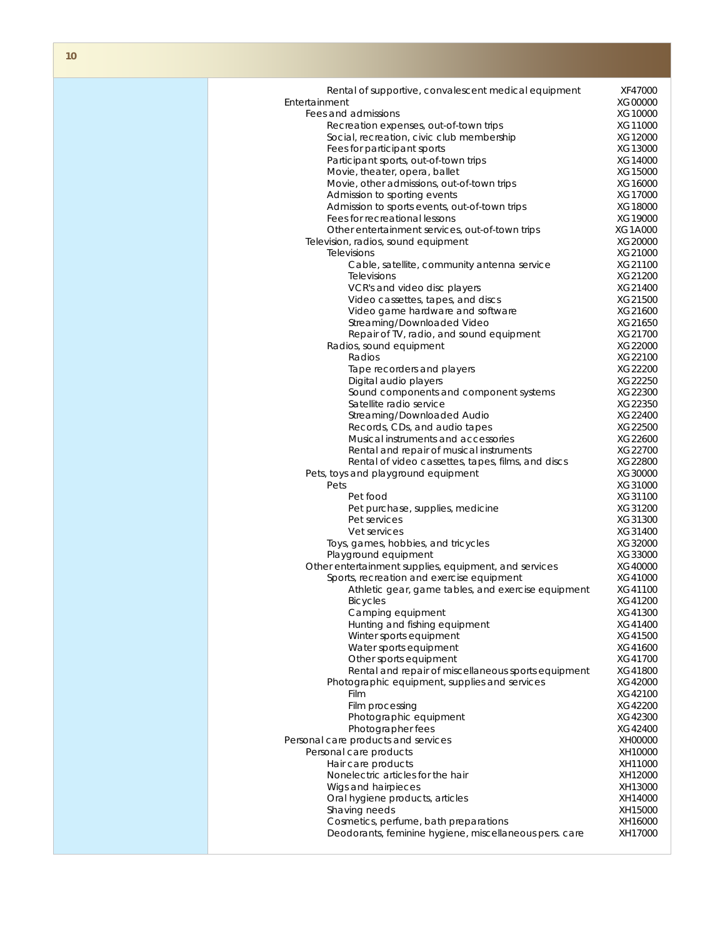| Rental of supportive, convalescent medical equipment   | XF47000 |
|--------------------------------------------------------|---------|
| Entertainment                                          | XG00000 |
| Fees and admissions                                    | XG10000 |
| Recreation expenses, out-of-town trips                 | XG11000 |
| Social, recreation, civic club membership              | XG12000 |
|                                                        |         |
| Fees for participant sports                            | XG13000 |
| Participant sports, out-of-town trips                  | XG14000 |
| Movie, theater, opera, ballet                          | XG15000 |
| Movie, other admissions, out-of-town trips             | XG16000 |
| Admission to sporting events                           | XG17000 |
| Admission to sports events, out-of-town trips          |         |
|                                                        | XG18000 |
| Fees for recreational lessons                          | XG19000 |
| Other entertainment services, out-of-town trips        | XG1A000 |
| Television, radios, sound equipment                    | XG20000 |
| <b>Televisions</b>                                     | XG21000 |
| Cable, satellite, community antenna service            | XG21100 |
|                                                        |         |
| Televisions                                            | XG21200 |
| VCR's and video disc players                           | XG21400 |
| Video cassettes, tapes, and discs                      | XG21500 |
| Video game hardware and software                       | XG21600 |
| Streaming/Downloaded Video                             | XG21650 |
|                                                        | XG21700 |
| Repair of TV, radio, and sound equipment               |         |
| Radios, sound equipment                                | XG22000 |
| Radios                                                 | XG22100 |
| Tape recorders and players                             | XG22200 |
| Digital audio players                                  | XG22250 |
| Sound components and component systems                 | XG22300 |
| Satellite radio service                                |         |
|                                                        | XG22350 |
| Streaming/Downloaded Audio                             | XG22400 |
| Records, CDs, and audio tapes                          | XG22500 |
| Musical instruments and accessories                    | XG22600 |
| Rental and repair of musical instruments               | XG22700 |
| Rental of video cassettes, tapes, films, and discs     | XG22800 |
|                                                        |         |
| Pets, toys and playground equipment                    | XG30000 |
| Pets                                                   | XG31000 |
| Pet food                                               | XG31100 |
| Pet purchase, supplies, medicine                       | XG31200 |
| Pet services                                           | XG31300 |
|                                                        |         |
| Vet services                                           | XG31400 |
| Toys, games, hobbies, and tricycles                    | XG32000 |
| Playground equipment                                   | XG33000 |
| Other entertainment supplies, equipment, and services  | XG40000 |
| Sports, recreation and exercise equipment              | XG41000 |
|                                                        |         |
| Athletic gear, game tables, and exercise equipment     | XG41100 |
| <b>Bicycles</b>                                        | XG41200 |
| Camping equipment                                      | XG41300 |
| Hunting and fishing equipment                          | XG41400 |
| Winter sports equipment                                | XG41500 |
| Water sports equipment                                 | XG41600 |
|                                                        |         |
| Other sports equipment                                 | XG41700 |
| Rental and repair of miscellaneous sports equipment    | XG41800 |
| Photographic equipment, supplies and services          | XG42000 |
| Film                                                   | XG42100 |
| Film processing                                        | XG42200 |
| Photographic equipment                                 | XG42300 |
|                                                        |         |
| Photographer fees                                      | XG42400 |
| Personal care products and services                    | XH00000 |
| Personal care products                                 | XH10000 |
| Hair care products                                     | XH11000 |
| Nonelectric articles for the hair                      | XH12000 |
|                                                        |         |
| Wigs and hairpieces                                    | XH13000 |
| Oral hygiene products, articles                        | XH14000 |
| Shaving needs                                          | XH15000 |
| Cosmetics, perfume, bath preparations                  | XH16000 |
| Deodorants, feminine hygiene, miscellaneous pers. care | XH17000 |
|                                                        |         |
|                                                        |         |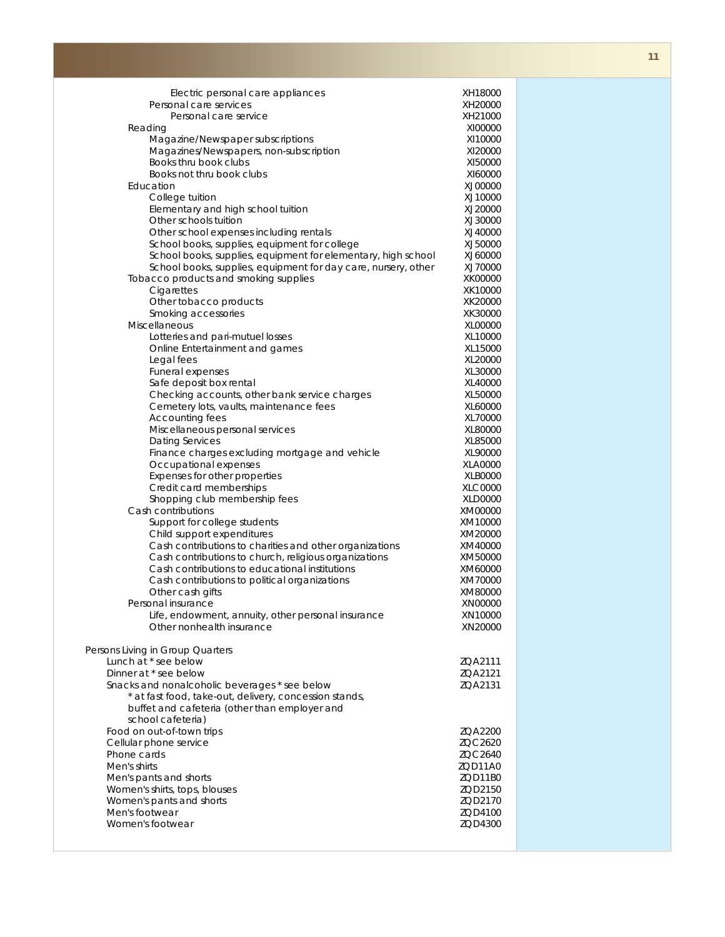| Electric personal care appliances                                                                                | XH18000            |
|------------------------------------------------------------------------------------------------------------------|--------------------|
| Personal care services                                                                                           | XH20000            |
| Personal care service                                                                                            | XH21000            |
| Reading                                                                                                          | XI00000            |
| Magazine/Newspaper subscriptions                                                                                 | XI10000            |
| Magazines/Newspapers, non-subscription<br>Books thru book clubs                                                  | XI20000<br>XI50000 |
| Books not thru book clubs                                                                                        | XI60000            |
| Education                                                                                                        | XJ00000            |
| College tuition                                                                                                  | XJ10000            |
| Elementary and high school tuition                                                                               | XJ20000            |
| Other schools tuition                                                                                            | XJ30000            |
| Other school expenses including rentals                                                                          | XJ40000            |
| School books, supplies, equipment for college                                                                    | XJ50000            |
| School books, supplies, equipment for elementary, high school                                                    | XJ60000            |
| School books, supplies, equipment for day care, nursery, other                                                   | XJ70000            |
| Tobacco products and smoking supplies                                                                            | XK00000            |
| Cigarettes                                                                                                       | XK10000            |
| Other tobacco products                                                                                           | XK20000<br>XK30000 |
| Smoking accessories<br><b>Miscellaneous</b>                                                                      | XL00000            |
| Lotteries and pari-mutuel losses                                                                                 | XL10000            |
| Online Entertainment and games                                                                                   | XL15000            |
| Legal fees                                                                                                       | XL20000            |
| Funeral expenses                                                                                                 | XL30000            |
| Safe deposit box rental                                                                                          | XL40000            |
| Checking accounts, other bank service charges                                                                    | XL50000            |
| Cemetery lots, vaults, maintenance fees                                                                          | XL60000            |
| Accounting fees                                                                                                  | XL70000<br>XL80000 |
| Miscellaneous personal services<br><b>Dating Services</b>                                                        | XL85000            |
| Finance charges excluding mortgage and vehicle                                                                   | XL90000            |
| Occupational expenses                                                                                            | XLA0000            |
| Expenses for other properties                                                                                    | XLB0000            |
| Credit card memberships                                                                                          | XLC0000            |
| Shopping club membership fees                                                                                    | XLD0000            |
| Cash contributions                                                                                               | XM00000            |
| Support for college students                                                                                     | XM10000            |
| Child support expenditures                                                                                       | XM20000            |
| Cash contributions to charities and other organizations<br>Cash contributions to church, religious organizations | XM40000<br>XM50000 |
| Cash contributions to educational institutions                                                                   | XM60000            |
| Cash contributions to political organizations                                                                    | XM70000            |
| Other cash gifts                                                                                                 | XM80000            |
| Personal insurance                                                                                               | XN00000            |
| Life, endowment, annuity, other personal insurance                                                               | XN10000            |
| Other nonhealth insurance                                                                                        | XN20000            |
|                                                                                                                  |                    |
| Persons Living in Group Quarters<br>Lunch at * see below                                                         |                    |
| Dinner at * see below                                                                                            | ZQA2111<br>ZQA2121 |
| Snacks and nonalcoholic beverages * see below                                                                    | ZQA2131            |
| * at fast food, take-out, delivery, concession stands,                                                           |                    |
| buffet and cafeteria (other than employer and                                                                    |                    |
| school cafeteria)                                                                                                |                    |
| Food on out-of-town trips                                                                                        | ZQA2200            |
| Cellular phone service                                                                                           | ZQC2620            |
| Phone cards                                                                                                      | ZQC2640            |
| Men's shirts                                                                                                     | ZQD11A0            |
| Men's pants and shorts<br>Women's shirts, tops, blouses                                                          | ZQD11B0<br>ZQD2150 |
| Women's pants and shorts                                                                                         | ZQD2170            |
| Men's footwear                                                                                                   | ZQD4100            |
| Women's footwear                                                                                                 | ZQD4300            |
|                                                                                                                  |                    |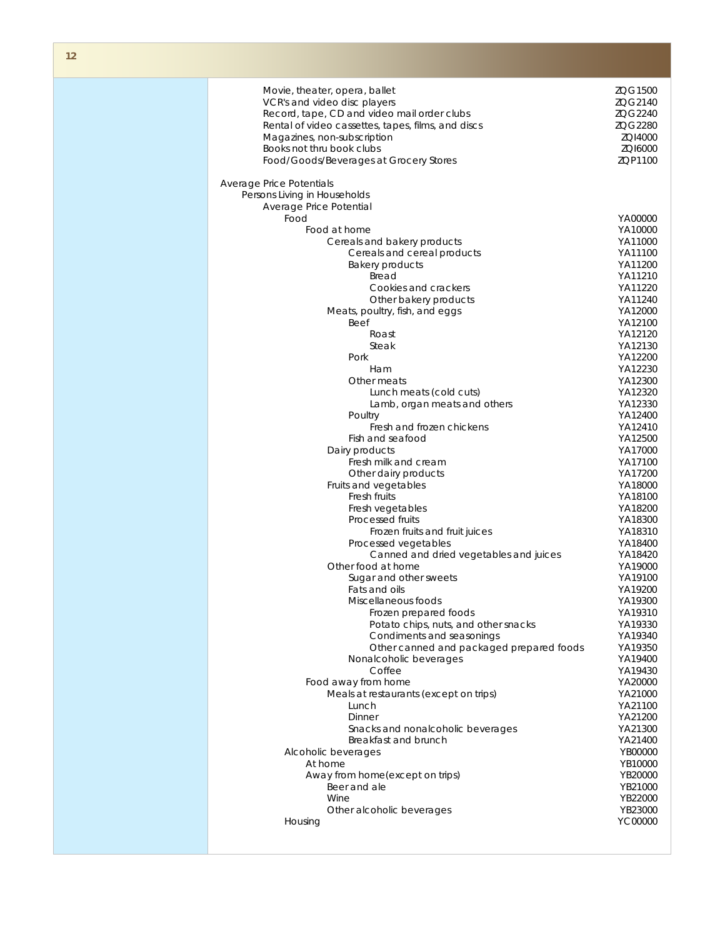| Movie, theater, opera, ballet                      | ZQG1500 |
|----------------------------------------------------|---------|
| VCR's and video disc players                       | ZQG2140 |
|                                                    |         |
| Record, tape, CD and video mail order clubs        | ZQG2240 |
| Rental of video cassettes, tapes, films, and discs | ZQG2280 |
| Magazines, non-subscription                        | ZQI4000 |
| Books not thru book clubs                          | ZQI6000 |
|                                                    |         |
| Food/Goods/Beverages at Grocery Stores             | ZQP1100 |
|                                                    |         |
| Average Price Potentials                           |         |
| Persons Living in Households                       |         |
| Average Price Potential                            |         |
|                                                    |         |
| Food                                               | YA00000 |
| Food at home                                       | YA10000 |
| Cereals and bakery products                        | YA11000 |
| Cereals and cereal products                        | YA11100 |
| <b>Bakery products</b>                             | YA11200 |
|                                                    |         |
| Bread                                              | YA11210 |
| Cookies and crackers                               | YA11220 |
| Other bakery products                              | YA11240 |
| Meats, poultry, fish, and eggs                     | YA12000 |
| <b>Beef</b>                                        | YA12100 |
|                                                    |         |
| Roast                                              | YA12120 |
| Steak                                              | YA12130 |
| Pork                                               | YA12200 |
| Ham                                                | YA12230 |
| Other meats                                        | YA12300 |
|                                                    |         |
| Lunch meats (cold cuts)                            | YA12320 |
| Lamb, organ meats and others                       | YA12330 |
| Poultry                                            | YA12400 |
| Fresh and frozen chickens                          | YA12410 |
| Fish and seafood                                   | YA12500 |
|                                                    |         |
| Dairy products                                     | YA17000 |
| Fresh milk and cream                               | YA17100 |
| Other dairy products                               | YA17200 |
| Fruits and vegetables                              | YA18000 |
| Fresh fruits                                       | YA18100 |
| Fresh vegetables                                   | YA18200 |
| Processed fruits                                   | YA18300 |
|                                                    |         |
| Frozen fruits and fruit juices                     | YA18310 |
| Processed vegetables                               | YA18400 |
| Canned and dried vegetables and juices             | YA18420 |
| Other food at home                                 | YA19000 |
| Sugar and other sweets                             | YA19100 |
| Fats and oils                                      | YA19200 |
|                                                    |         |
| Miscellaneous foods                                | YA19300 |
| Frozen prepared foods                              | YA19310 |
| Potato chips, nuts, and other snacks               | YA19330 |
| Condiments and seasonings                          | YA19340 |
| Other canned and packaged prepared foods           | YA19350 |
| Nonalcoholic beverages                             | YA19400 |
|                                                    |         |
| Coffee                                             | YA19430 |
| Food away from home                                | YA20000 |
| Meals at restaurants (except on trips)             | YA21000 |
| Lunch                                              | YA21100 |
| Dinner                                             | YA21200 |
|                                                    |         |
| Snacks and nonalcoholic beverages                  | YA21300 |
| Breakfast and brunch                               | YA21400 |
| Alcoholic beverages                                | YB00000 |
| At home                                            | YB10000 |
| Away from home(except on trips)                    | YB20000 |
| Beer and ale                                       | YB21000 |
|                                                    |         |
| Wine                                               | YB22000 |
| Other alcoholic beverages                          | YB23000 |
| Housing                                            | YC00000 |
|                                                    |         |
|                                                    |         |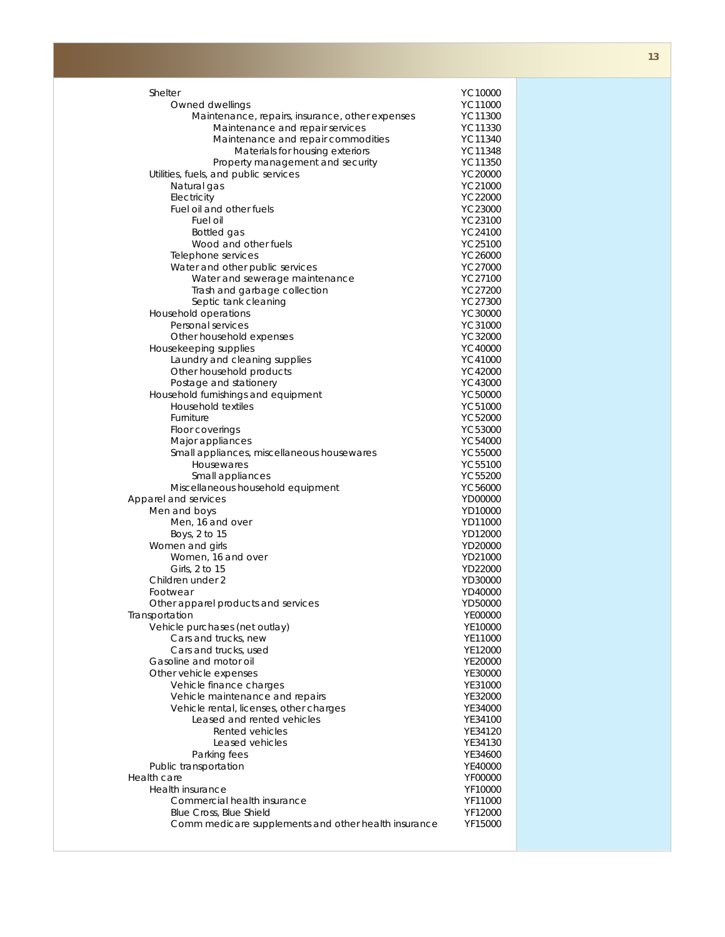| Shelter                                                  | YC10000            |
|----------------------------------------------------------|--------------------|
| Owned dwellings                                          | YC11000            |
| Maintenance, repairs, insurance, other expenses          | YC11300            |
| Maintenance and repair services                          | YC11330            |
| Maintenance and repair commodities                       | YC11340            |
| Materials for housing exteriors                          | YC11348            |
| Property management and security                         | YC11350            |
| Utilities, fuels, and public services                    | YC20000            |
| Natural gas                                              | YC21000            |
| Electricity                                              | YC22000            |
| Fuel oil and other fuels                                 | YC23000            |
| Fuel oil                                                 | YC23100            |
| Bottled gas                                              | YC24100            |
| Wood and other fuels                                     | YC25100            |
| Telephone services<br>Water and other public services    | YC26000<br>YC27000 |
| Water and sewerage maintenance                           | YC27100            |
| Trash and garbage collection                             | YC27200            |
| Septic tank cleaning                                     | YC27300            |
| Household operations                                     | YC30000            |
| Personal services                                        | YC31000            |
| Other household expenses                                 | YC32000            |
| Housekeeping supplies                                    | YC40000            |
| Laundry and cleaning supplies                            | YC41000            |
| Other household products                                 | YC42000            |
| Postage and stationery                                   | YC43000            |
| Household furnishings and equipment                      | YC50000            |
| Household textiles                                       | YC51000            |
| Furniture                                                | YC52000            |
| Floor coverings                                          | YC53000            |
| Major appliances                                         | YC54000            |
| Small appliances, miscellaneous housewares<br>Housewares | YC55000<br>YC55100 |
| Small appliances                                         | YC55200            |
| Miscellaneous household equipment                        | YC56000            |
| Apparel and services                                     | YD00000            |
| Men and boys                                             | YD10000            |
| Men, 16 and over                                         | YD11000            |
| Boys, 2 to 15                                            | YD12000            |
| Women and girls                                          | YD20000            |
| Women, 16 and over                                       | YD21000            |
| Girls, 2 to 15                                           | YD22000            |
| Children under 2                                         | YD30000            |
| Footwear                                                 | YD40000            |
| Other apparel products and services                      | YD50000            |
| Transportation<br>Vehicle purchases (net outlay)         | YE00000<br>YE10000 |
| Cars and trucks, new                                     | YE11000            |
| Cars and trucks, used                                    | YE12000            |
| Gasoline and motor oil                                   | YE20000            |
| Other vehicle expenses                                   | YE30000            |
| Vehicle finance charges                                  | YE31000            |
| Vehicle maintenance and repairs                          | YE32000            |
| Vehicle rental, licenses, other charges                  | YE34000            |
| Leased and rented vehicles                               | YE34100            |
| Rented vehicles                                          | YE34120            |
| Leased vehicles                                          | YE34130            |
| Parking fees                                             | YE34600            |
| Public transportation                                    | YE40000            |
| Health care<br>Health insurance                          | YF00000<br>YF10000 |
| Commercial health insurance                              | YF11000            |
| Blue Cross, Blue Shield                                  | YF12000            |
| Comm medicare supplements and other health insurance     | YF15000            |
|                                                          |                    |